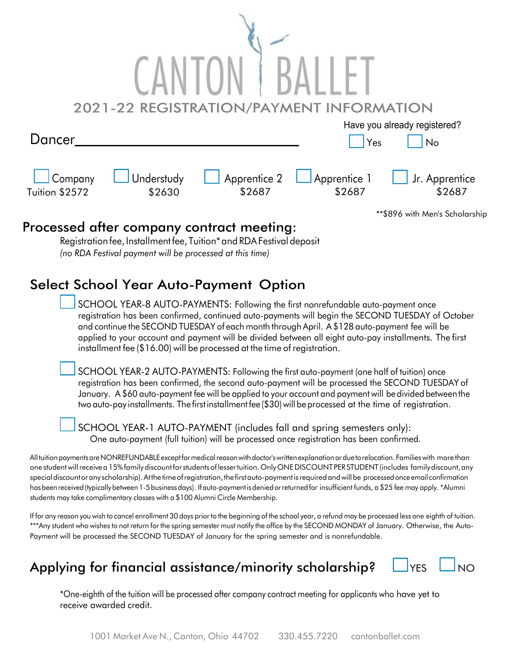|                           |                      | 2021-22 REGISTRATION/PAYMENT INFORMATION  |                        |                                 |
|---------------------------|----------------------|-------------------------------------------|------------------------|---------------------------------|
|                           |                      |                                           |                        | Have you already registered?    |
| Dancer                    |                      |                                           | Yes                    | No                              |
|                           |                      |                                           |                        |                                 |
| Company<br>Tuition \$2572 | Understudy<br>\$2630 | Apprentice 2<br>\$2687                    | Apprentice 1<br>\$2687 | Jr. Apprentice<br>\$2687        |
|                           |                      |                                           |                        | ** \$896 with Men's Scholarship |
|                           |                      | Processed after company contract meeting: |                        |                                 |

Registrationfee, Installmentfee, Tuition\*and RDAFestival deposit *(no RDA Festival payment will be processed at this time)*

## Select School Year Auto-Payment Option

SCHOOL YEAR-8 AUTO-PAYMENTS: Following the first nonrefundable auto-payment once registration has been confirmed, continued auto-payments will begin the SECOND TUESDAY of October and continue the SECOND TUESDAY of each month through April. A \$128 auto-payment fee will be applied to your account and payment will be divided between all eight auto-pay installments. The first installment fee (\$16.00) will be processed at the time of registration.

SCHOOL YEAR-2 AUTO-PAYMENTS: Following the first auto-payment (one half of tuition) once registration has been confirmed, the second auto-payment will be processed the SECOND TUESDAY of January. A \$60 auto-payment fee will be applied to your account and payment will be divided between the twoauto-pay installments. The first installmentfee (\$30)will be processed at the time of registration.

SCHOOL YEAR-1 AUTO-PAYMENT (includes fall and spring semesters only): One auto-payment (full tuition) will be processed once registration has been confirmed.

All tuition payments are NONREFUNDABLE except for medical reason with doctor's written explanation or due to relocation. Families with more than one student will receive a 15% family discount for students of lessertuition. Only ONE DISCOUNT PER STUDENT (includes family discount, any special discount or any scholarship). At the time of registration, the first auto-payment is required and will be processed once email confirmation hasbeenreceived(typicallybetween 1-5 businessdays). Ifauto-paymentisdeniedorreturnedfor insufficient funds, a \$25 fee may apply. \*Alumni students may take complimentary classes with a \$100 Alumni Circle Membership.

If for any reason you wish to cancel enrollment 30 days prior to the beginning of the school year, a refund may be processed less one eighth of tuition. \*\*\*Any student who wishes to not return for the spring semester must notify the office by the SECOND MONDAY of January. Otherwise, the Auto-Payment will be processed the SECOND TUESDAY of January for the spring semester and is nonrefundable.

## Applying for financial assistance/minority scholarship?  $\Box$ YES  $\Box$ NO



\*One-eighth of the tuition will be processed after company contract meeting for applicants who have yet to receive awarded credit.